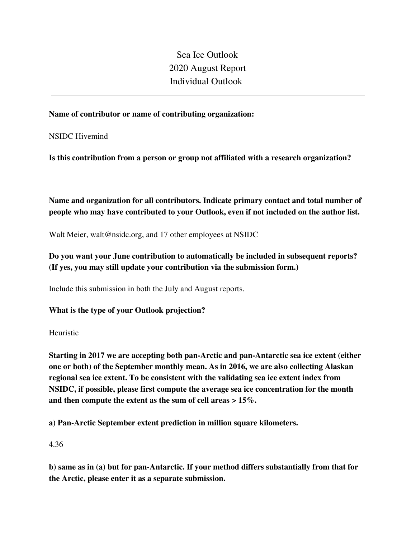Sea Ice Outlook 2020 August Report Individual Outlook

#### **Name of contributor or name of contributing organization:**

NSIDC Hivemind

**Is this contribution from a person or group not affiliated with a research organization?** 

**Name and organization for all contributors. Indicate primary contact and total number of people who may have contributed to your Outlook, even if not included on the author list.**

Walt Meier, walt@nsidc.org, and 17 other employees at NSIDC

# **Do you want your June contribution to automatically be included in subsequent reports? (If yes, you may still update your contribution via the submission form.)**

Include this submission in both the July and August reports.

#### **What is the type of your Outlook projection?**

Heuristic

**Starting in 2017 we are accepting both pan-Arctic and pan-Antarctic sea ice extent (either one or both) of the September monthly mean. As in 2016, we are also collecting Alaskan regional sea ice extent. To be consistent with the validating sea ice extent index from NSIDC, if possible, please first compute the average sea ice concentration for the month and then compute the extent as the sum of cell areas > 15%.**

**a) Pan-Arctic September extent prediction in million square kilometers.**

4.36

**b) same as in (a) but for pan-Antarctic. If your method differs substantially from that for the Arctic, please enter it as a separate submission.**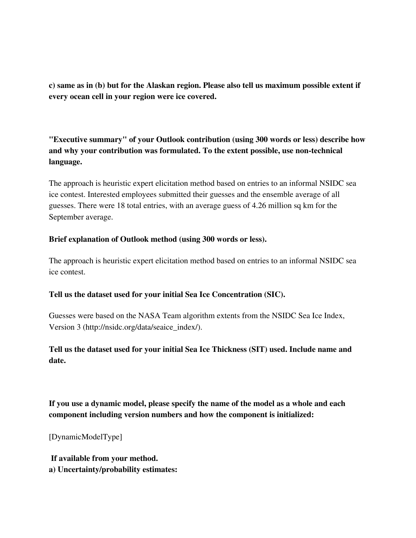**c) same as in (b) but for the Alaskan region. Please also tell us maximum possible extent if every ocean cell in your region were ice covered.**

**"Executive summary" of your Outlook contribution (using 300 words or less) describe how and why your contribution was formulated. To the extent possible, use non-technical language.**

The approach is heuristic expert elicitation method based on entries to an informal NSIDC sea ice contest. Interested employees submitted their guesses and the ensemble average of all guesses. There were 18 total entries, with an average guess of 4.26 million sq km for the September average.

### **Brief explanation of Outlook method (using 300 words or less).**

The approach is heuristic expert elicitation method based on entries to an informal NSIDC sea ice contest.

#### **Tell us the dataset used for your initial Sea Ice Concentration (SIC).**

Guesses were based on the NASA Team algorithm extents from the NSIDC Sea Ice Index, Version 3 (http://nsidc.org/data/seaice\_index/).

# **Tell us the dataset used for your initial Sea Ice Thickness (SIT) used. Include name and date.**

**If you use a dynamic model, please specify the name of the model as a whole and each component including version numbers and how the component is initialized:**

[DynamicModelType]

**If available from your method.**

**a) Uncertainty/probability estimates:**